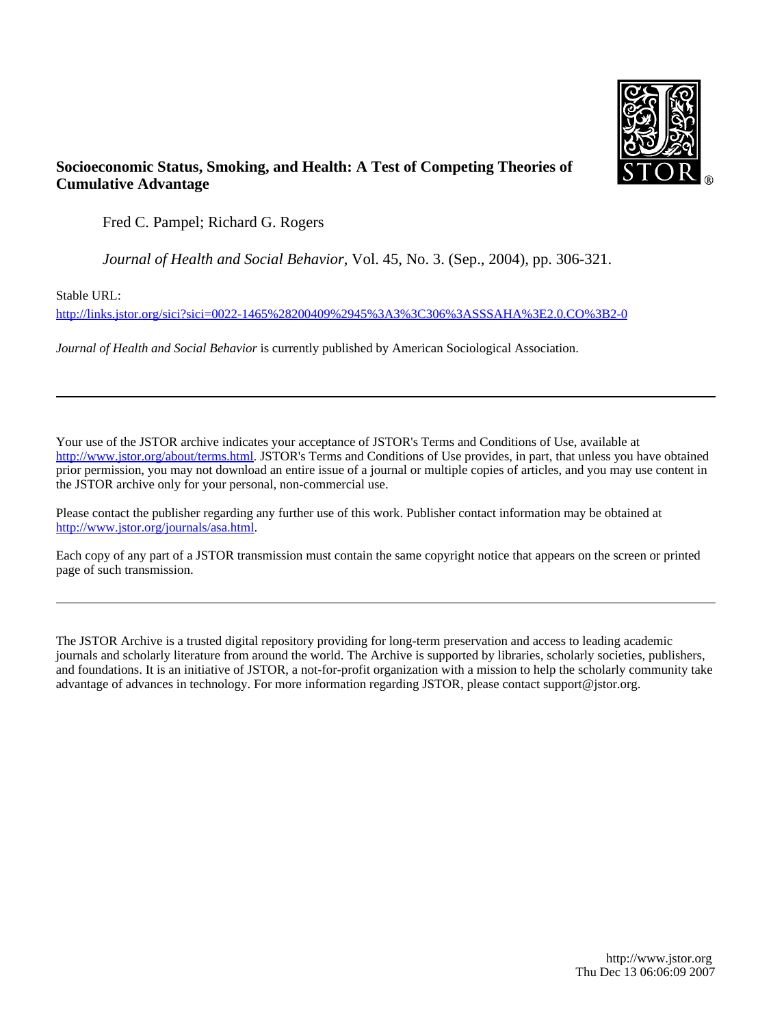

# **Socioeconomic Status, Smoking, and Health: A Test of Competing Theories of Cumulative Advantage**

Fred C. Pampel; Richard G. Rogers

*Journal of Health and Social Behavior*, Vol. 45, No. 3. (Sep., 2004), pp. 306-321.

Stable URL:

<http://links.jstor.org/sici?sici=0022-1465%28200409%2945%3A3%3C306%3ASSSAHA%3E2.0.CO%3B2-0>

*Journal of Health and Social Behavior* is currently published by American Sociological Association.

Your use of the JSTOR archive indicates your acceptance of JSTOR's Terms and Conditions of Use, available at [http://www.jstor.org/about/terms.html.](http://www.jstor.org/about/terms.html) JSTOR's Terms and Conditions of Use provides, in part, that unless you have obtained prior permission, you may not download an entire issue of a journal or multiple copies of articles, and you may use content in the JSTOR archive only for your personal, non-commercial use.

Please contact the publisher regarding any further use of this work. Publisher contact information may be obtained at <http://www.jstor.org/journals/asa.html>.

Each copy of any part of a JSTOR transmission must contain the same copyright notice that appears on the screen or printed page of such transmission.

The JSTOR Archive is a trusted digital repository providing for long-term preservation and access to leading academic journals and scholarly literature from around the world. The Archive is supported by libraries, scholarly societies, publishers, and foundations. It is an initiative of JSTOR, a not-for-profit organization with a mission to help the scholarly community take advantage of advances in technology. For more information regarding JSTOR, please contact support@jstor.org.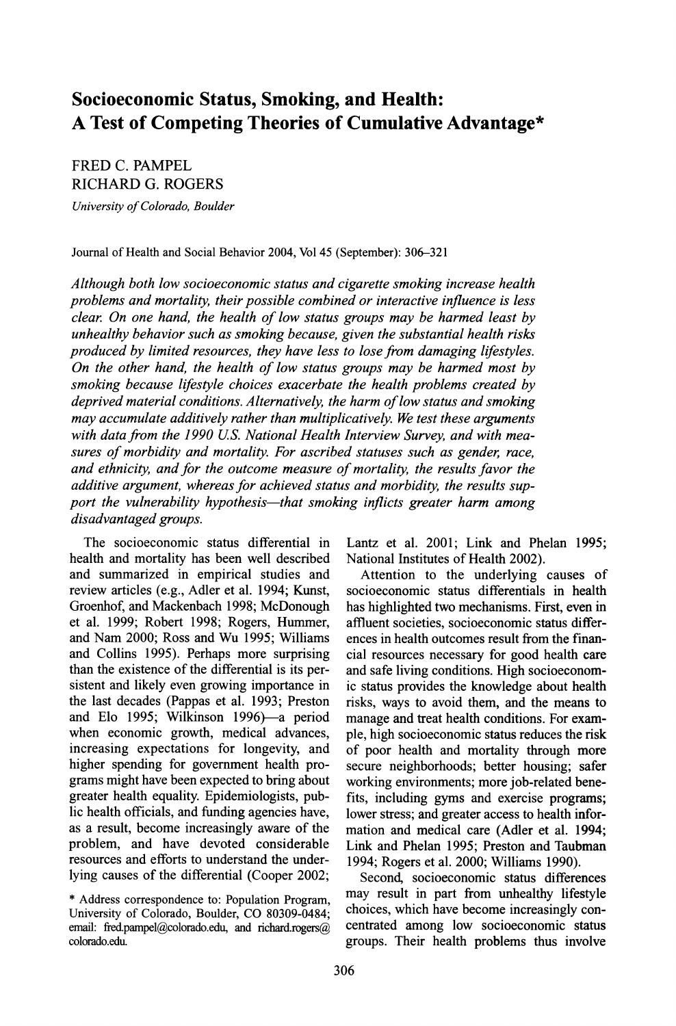# **Socioeconomic Status, Smoking, and Health: A Test of Competing Theories of Cumulative Advantage\***

FRED C. PAMPEL RICHARD G. ROGERS

*University of Colorado, Boulder* 

Journal of Health and Social Behavior 2004, Vol 45 (September): 306-321

*Although both low socioeconomic status and cigarette smoking increase health problems and mortality, their possible combined or interactive influence is less clear. On one hand, the health of low status groups may be harmed least by unhealthy behavior such as smoking because, given the substantial health risks produced by limited resources, they have less to losefiom damaging lifestyles. On the other hand, the health of low status groups may be harmed most by smoking because lifestyle choices exacerbate the health problems created by deprived material conditions. Alternatively, the harm of low status and smoking may accumulate additively rather than multiplicatively. We test these arguments with data from the 1990 US. National Health Interview Survey, and with measures of morbidity and mortality. For ascribed statuses such as gender, race, and ethnicity, and for the outcome measure of mortality, the results favor the additive argument, whereas for achieved status and morbidity, the results support the vulnerability hypothesis-that smoking inflicts greater harm among disadvantaged groups.* 

The socioeconomic status differential in health and mortality has been well described and summarized in empirical studies and review articles (e.g., Adler et al. 1994; Kunst, Groenhof, and Mackenbach 1998; McDonough et al. 1999; Robert 1998; Rogers, Hummer, and Nam 2000; Ross and Wu 1995; Williams and Collins 1995). Perhaps more surprising than the existence of the differential is its persistent and likely even growing importance in the last decades (Pappas et al. 1993; Preston and Elo 1995; Wilkinson 1996)—a period when economic growth, medical advances, increasing expectations for longevity, and higher spending for government health programs might have been expected to bring about greater health equality. Epidemiologists, public health officials, and funding agencies have, as a result, become increasingly aware of the problem, and have devoted considerable resources and efforts to understand the underlying causes of the differential (Cooper 2002;

\* Address correspondence to: Population Program, University of Colorado, Boulder, CO 80309-0484; email: fred.pampel@colorado.edu, and richard.rogers@ colorado.edu.

Lantz et al. 2001; Link and Phelan 1995; National Institutes of Health 2002).

Attention to the underlying causes of socioeconomic status differentials in health has highlighted two mechanisms. First, even in affluent societies, socioeconomic status differences in health outcomes result from the financial resources necessary for good health care and safe living conditions. High socioeconomic status provides the knowledge about health risks, ways to avoid them, and the means to manage and treat health conditions. For example, high socioeconomic status reduces the risk of poor health and mortality through more secure neighborhoods; better housing; safer working environments; more job-related benefits, including gyms and exercise programs; lower stress; and greater access to health information and medical care (Adler et al. 1994; Link and Phelan 1995; Preston and Taubman 1994; Rogers et al. 2000; Williams 1990).

Second, socioeconomic status differences may result in part from unhealthy lifestyle choices, which have become increasingly concentrated among low socioeconomic status groups. Their health problems thus involve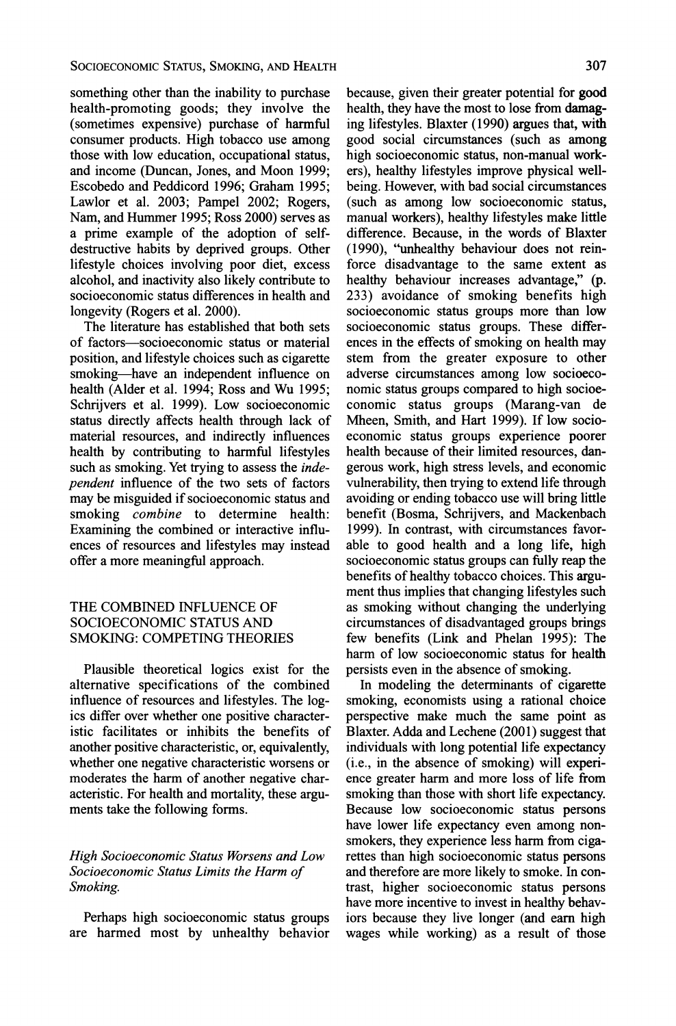something other than the inability to purchase health-promoting goods; they involve the (sometimes expensive) purchase of harmful consumer products. High tobacco use among those with low education, occupational status, and income (Duncan, Jones, and Moon 1999; Escobedo and Peddicord 1996; Graham 1995; Lawlor et al. 2003; Pampel 2002; Rogers, Nam, and Hummer 1995; Ross 2000) serves as a prime example of the adoption of selfdestructive habits by deprived groups. Other lifestyle choices involving poor diet, excess alcohol, and inactivity also likely contribute to socioeconomic status differences in health and longevity (Rogers et al. 2000).

The literature has established that both sets of factors-socioeconomic status or material position, and lifestyle choices such as cigarette smoking-have an independent influence on health (Alder et al. 1994; Ross and Wu 1995; Schrijvers et al. 1999). Low socioeconomic status directly affects health through lack of material resources, and indirectly influences health by contributing to harmful lifestyles such as smoking. Yet trying to assess the *independent* influence of the two sets of factors may be misguided if socioeconomic status and smoking *combine* to determine health: Examining the combined or interactive influences of resources and lifestyles may instead offer a more meaningful approach.

# THE COMBINED INFLUENCE OF SOCIOECONOMIC STATUS AND SMOKING: COMPETING THEORIES

Plausible theoretical logics exist for the alternative specifications of the combined influence of resources and lifestyles. The logics differ over whether one positive characteristic facilitates or inhibits the benefits of another positive characteristic, or, equivalently, whether one negative characteristic worsens or moderates the harm of another negative characteristic. For health and mortality, these arguments take the following forms.

# *High Socioeconomic Status Worsens and Low Socioeconomic Status Limits the Harm of Smoking.*

Perhaps high socioeconomic status groups are harmed most by unhealthy behavior

because, given their greater potential for good health, they have the most to lose from damaging lifestyles. Blaxter (1990) argues that, with good social circumstances (such as among high socioeconomic status, non-manual workers), healthy lifestyles improve physical wellbeing. However, with bad social circumstances (such as among low socioeconomic status, manual workers), healthy lifestyles make little difference. Because, in the words of Blaxter (1990), "unhealthy behaviour does not reinforce disadvantage to the same extent as healthy behaviour increases advantage," (p. 233) avoidance of smoking benefits high socioeconomic status groups more than low socioeconomic status groups. These differences in the effects of smoking on health may stem from the greater exposure to other adverse circumstances among low socioeconomic status groups compared to high socioeconomic status groups (Marang-van de Mheen, Smith, and Hart 1999). If low socioeconomic status groups experience poorer health because of their limited resources. **dan**gerous work, high stress levels, and economic vulnerability, then trying to extend life through avoiding or ending tobacco use will bring little benefit (Bosma, Schrijvers, and Mackenbach 1999). In contrast, with circumstances favorable to good health and a long life, high socioeconomic status groups can fully reap the benefits of healthy tobacco choices. This argument thus implies that changing lifestyles such as smoking without changing the underlying circumstances of disadvantaged groups brings few benefits (Link and Phelan 1995): The harm of low socioeconomic status for health persists even in the absence of smoking.

In modeling the determinants of cigarette smoking, economists using a rational choice perspective make much the same point as Blaxter. Adda and Lechene (2001) suggest that individuals with long potential life expectancy (i.e., in the absence of smoking) will experience greater harm and more loss of life from smoking than those with short life expectancy. Because low socioeconomic status persons have lower life expectancy even among nonsmokers, they experience less harm from cigarettes than high socioeconomic status persons and therefore are more likely to smoke. In contrast, higher socioeconomic status persons have more incentive to invest in healthy behaviors because they live longer (and earn high wages while working) as a result of those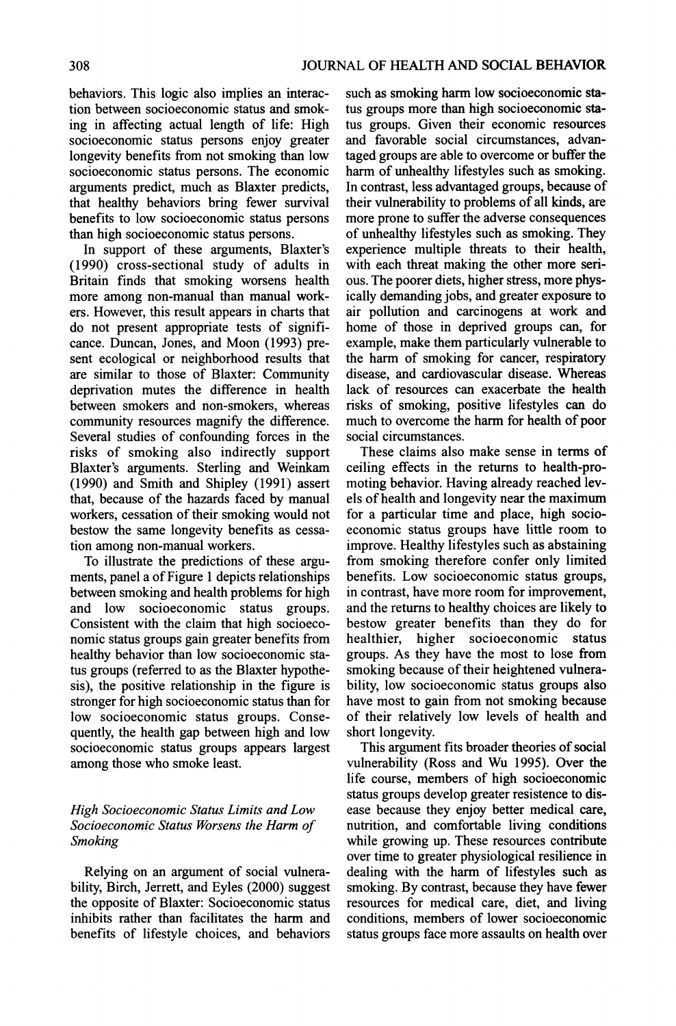behaviors. This logic also implies an interaction between socioeconomic status and smoking in affecting actual length of life: High socioeconomic status persons enjoy greater longevity benefits from not smoking than low socioeconomic status persons. The economic arguments predict, much as Blaxter predicts, that healthy behaviors bring fewer survival benefits to low socioeconomic status persons than high socioeconomic status persons.

In support of these arguments, Blaxter's (1990) cross-sectional study of adults in Britain finds that smoking worsens health more among non-manual than manual workers. However, this result appears in charts that do not present appropriate tests of significance. Duncan, Jones, and Moon (1993) present ecological or neighborhood results that are similar to those of Blaxter: Community deprivation mutes the difference in health between smokers and non-smokers, whereas community resources magnify the difference. Several studies of confounding forces in the risks of smoking also indirectly support Blaxter's arguments. Sterling and Weinkam (1990) and Smith and Shipley (1991) assert that, because of the hazards faced by manual workers, cessation of their smoking would not bestow the same longevity benefits as cessation among non-manual workers.

To illustrate the predictions of these arguments, panel a of Figure 1 depicts relationships between smoking and health problems for high and low socioeconomic status groups. Consistent with the claim that high socioeconomic status groups gain greater benefits from healthy behavior than low socioeconomic status groups (referred to as the Blaxter hypothesis), the positive relationship in the figure is stronger for high socioeconomic status than for low socioeconomic status groups. Consequently, the health gap between high and low socioeconomic status groups appears largest among those who smoke least.

# *High Socioeconomic Status Limits and Low Socioeconomic Status Worsens the Harm of Smoking*

Relying on an argument of social vulnerability, Birch, Jerrett, and Eyles (2000) suggest the opposite of Blaxter: Socioeconomic status inhibits rather than facilitates the harm and benefits of lifestyle choices, and behaviors such as smoking harm low socioeconomic status groups more than high socioeconomic status groups. Given their economic resources and favorable social circumstances, advantaged groups are able to overcome or buffer the harm of unhealthy lifestyles such as smoking. In contrast, less advantaged groups, because of their vulnerability to problems of all kinds, are more prone to suffer the adverse consequences of unhealthy lifestyles such as smoking. They experience multiple threats to their health, with each threat making the other more serious. The poorer diets, higher stress, more physically demanding jobs, and greater exposure to air pollution and carcinogens at work and home of those in deprived groups can, for example, make them particularly vulnerable to the harm of smoking for cancer, respiratory disease, and cardiovascular disease. Whereas lack of resources can exacerbate the health risks of smoking, positive lifestyles can do much to overcome the harm for health of poor social circumstances.

These claims also make sense in terms of ceiling effects in the returns to health-promoting behavior. Having already reached levels of health and longevity near the maximum for a particular time and place, high socioeconomic status groups have little room to improve. Healthy lifestyles such as abstaining from smoking therefore confer only limited benefits. Low socioeconomic status groups, in contrast, have more room for improvement, and the returns to healthy choices are likely to bestow greater benefits than they do for healthier, higher socioeconomic status groups. As they have the most to lose from smoking because of their heightened vulnerability, low socioeconomic status groups also have most to gain from not smoking because of their relatively low levels of health and short longevity.

This argument fits broader theories of social vulnerability (Ross and Wu 1995). Over the life course, members of high socioeconomic status groups develop greater resistence to disease because they enjoy better medical care, nutrition, and comfortable living conditions while growing up. These resources contribute over time to greater physiological resilience in dealing with the harm of lifestyles such as smoking. By contrast, because they have fewer resources for medical care, diet, and living conditions, members of lower socioeconomic status groups face more assaults on health over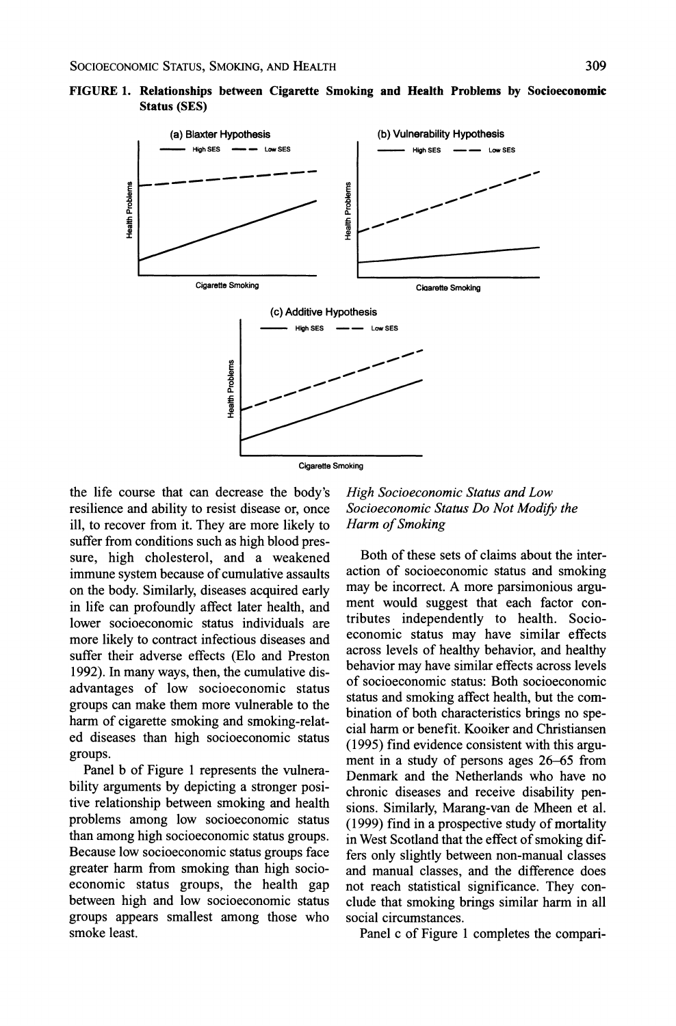

**FIGURE 1. Relationships between Cigarette Smoking and Health Problems by Socioeconomic Status (SES)** 

the life course that can decrease the body's resilience and ability to resist disease or, once ill, to recover from it. They are more likely to suffer from conditions such as high blood pressure, high cholesterol, and a weakened immune system because of cumulative assaults on the body. Similarly, diseases acquired early in life can profoundly affect later health, and lower socioeconomic status individuals are more likely to contract infectious diseases and suffer their adverse effects (Elo and Preston 1992). In many ways, then, the cumulative disadvantages of low socioeconomic status groups can make them more vulnerable to the harm of cigarette smoking and smoking-related diseases than high socioeconomic status groups.

Panel b of Figure 1 represents the vulnerability arguments by depicting a stronger positive relationship between smoking and health problems among low socioeconomic status than among high socioeconomic status groups. Because low socioeconomic status groups face greater harm from smoking than high socioeconomic status groups, the health gap between high and low socioeconomic status groups appears smallest among those who smoke least.

# *High Socioeconomic Status and* **Low**  Socioeconomic Status Do Not Modify the *Harm of Smoking*

Both of these sets of claims about the interaction of socioeconomic status and smoking may be incorrect. A more parsimonious argument would suggest that each factor contributes independently to health. Socioeconomic status may have similar effects across levels of healthy behavior, and healthy behavior may have similar effects across levels of socioeconomic status: Both socioeconomic status and smoking affect health, but the combination of both characteristics brings no special harm or benefit. Kooiker and Christiansen (1995) find evidence consistent with this argument in a study of persons ages 26-65 from Denmark and the Netherlands who have no chronic diseases and receive disability pensions. Similarly, Marang-van de Mheen et al. (1 999) find in a prospective study of mortality in West Scotland that the effect of smoking differs only slightly between non-manual classes and manual classes, and the difference does not reach statistical significance. They conclude that smoking brings similar harm in all social circumstances.

Panel c of Figure 1 completes the compari-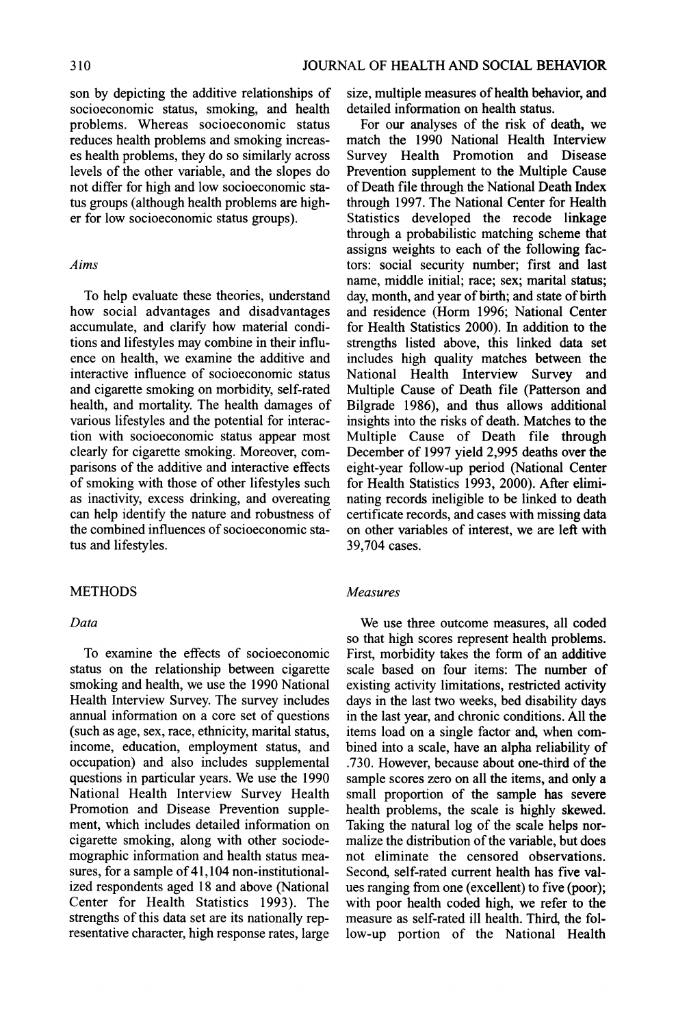son by depicting the additive relationships of socioeconomic status, smoking, and health problems. Whereas socioeconomic status reduces health problems and smoking increases health problems, they do so similarly across levels of the other variable, and the slopes do not differ for high and low socioeconomic status groups (although health problems are higher for low socioeconomic status groups).

#### *Aims*

To help evaluate these theories, understand how social advantages and disadvantages accumulate, and clarify how material conditions and lifestyles may combine in their influence on health, we examine the additive and interactive influence of socioeconomic status and cigarette smoking on morbidity, self-rated health, and mortality. The health damages of various lifestyles and the potential for interaction with socioeconomic status appear most clearly for cigarette smoking. Moreover, comparisons of the additive and interactive effects of smoking with those of other lifestyles such as inactivity, excess drinking, and overeating can help identify the nature and robustness of the combined influences of socioeconomic status and lifestyles.

# **METHODS**

#### *Data*

To examine the effects of socioeconomic status on the relationship between cigarette smoking and health, we use the 1990 National Health Interview Survey. The survey includes annual information on a core set of questions (such as age, sex, race, ethnicity, marital status, income, education, employment status, and occupation) and also includes supplemental questions in particular years. We use the 1990 National Health Interview Survey Health Promotion and Disease Prevention supplement, which includes detailed information on cigarette smoking, along with other sociodemographic information and health status measures, for a sample of 41,104 non-institutionalized respondents aged 18 and above (National Center for Health Statistics 1993). The strengths of this data set are its nationally representative character, high response rates, large

size, multiple measures of health behavior, and detailed information on health status.

For our analyses of the risk of death, we match the 1990 National Health Interview Survey Health Promotion and Disease Prevention supplement to the Multiple Cause of Death file through the National Death Index through 1997. The National Center for Health Statistics developed the recode linkage through a probabilistic matching scheme that assigns weights to each of the following factors: social security number; first and last name, middle initial; race; sex; marital status; day, month, and year of birth; and state of birth and residence (Horm 1996; National Center for Health Statistics 2000). In addition to the strengths listed above, this linked data set includes high quality matches between the National Health Interview Survey and Multiple Cause of Death file (Patterson and Bilgrade 1986), and thus allows additional insights into the risks of death. Matches to the Multiple Cause of Death file through December of 1997 yield 2,995 deaths over the eight-year follow-up period (National Center for Health Statistics 1993, 2000). After eliminating records ineligible to be linked to death certificate records, and cases with missing **data**  on other variables of interest, we are left with 39,704 cases.

#### *Measures*

We use three outcome measures, all coded so that high scores represent health problems. First, morbidity takes the form of an additive scale based on four items: The number of existing activity limitations, restricted activity days in the last two weeks, bed disability days in the last year, and chronic conditions. All the items load on a single factor and, when combined into a scale, have an alpha reliability of .730. However, because about one-third of the sample scores zero on all the items, and only a small proportion of the sample has severe health problems, the scale is highly skewed. Taking the natural log of the scale helps normalize the distribution of the variable, but does not eliminate the censored observations. Second, self-rated current health has five values ranging from one (excellent) to five (poor); with poor health coded high, we refer to the measure as self-rated ill health. Third, the follow-up portion of the National Health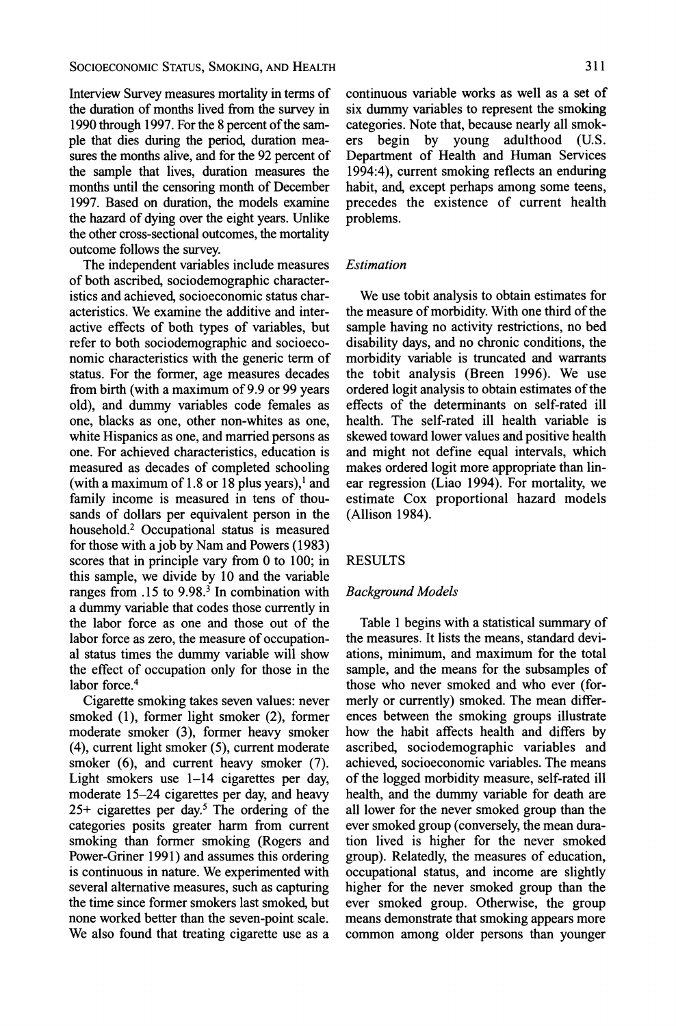Interview Survey measures mortality in terms of the duration of months lived from the survey in 1990 through 1997. For the 8 percent of the sample that dies during the period, duration measures the months alive, and for the 92 percent of the sample that lives, duration measures the months until the censoring month of December 1997. Based on duration, the models examine the hazard of dying over the eight years. Unlike the other cross-sectional outcomes, the mortality outcome follows the survey.

The independent variables include measures of both ascribed, sociodemographic characteristics and achieved, socioeconomic status characteristics. We examine the additive and interactive effects of both types of variables, but refer to both sociodemographic and socioeconomic characteristics with the generic term of status. For the former, age measures decades from birth (with a maximum of 9.9 or 99 years old), and dummy variables code females as one, blacks as one, other non-whites as one, white Hispanics as one, and married persons as one. For achieved characteristics, education is measured as decades of completed schooling (with a maximum of 1.8 or 18 plus years),<sup>1</sup> and family income is measured in tens of thousands of dollars per equivalent person in the household.<sup>2</sup> Occupational status is measured for those with a job by Nam and Powers (1983) scores that in principle vary from 0 to 100; in this sample, we divide by 10 and the variable ranges from .15 to 9.98.<sup>3</sup> In combination with a dummy variable that codes those currently in the labor force as one and those out of the labor force as zero, the measure of occupational status times the dummy variable will show the effect of occupation only for those in the labor force.<sup>4</sup>

Cigarette smoking takes seven values: never smoked (I), former light smoker (2), former moderate smoker (3), former heavy smoker (4), current light smoker (5), current moderate smoker (6), and current heavy smoker (7). Light smokers use  $1-14$  cigarettes per day, moderate 15-24 cigarettes per day, and heavy  $25+$  cigarettes per day.<sup>5</sup> The ordering of the categories posits greater harm from current smoking than former smoking (Rogers and Power-Griner 1991) and assumes this ordering is continuous in nature. We experimented with several alternative measures, such as capturing the time since former smokers last smoked, but none worked better than the seven-point scale. We also found that treating cigarette use as a continuous variable works as well as a set of six dummy variables to represent the smoking categories. Note that, because nearly all smokers begin by young adulthood (U.S. Department of Health and Human Services 1994:4), current smoking reflects an enduring habit, and, except perhaps among some teens, precedes the existence of current health problems.

#### *Estimation*

We use tobit analysis to obtain estimates for the measure of morbidity. With one third of the sample having no activity restrictions, no bed disability days, and no chronic conditions, the morbidity variable is truncated and warrants the tobit analysis (Breen 1996). We use ordered logit analysis to obtain estimates of the effects of the determinants on self-rated ill health. The self-rated ill health variable is skewed toward lower values and positive health and might not define equal intervals, which makes ordered logit more appropriate than linear regression (Liao 1994). For mortality, we estimate Cox proportional hazard models (Allison 1984).

#### RESULTS

#### *Background Models*

Table 1 begins with a statistical summary of the measures. It lists the means, standard deviations, minimum, and maximum for the total sample, and the means for the subsamples of those who never smoked and who ever (formerly or currently) smoked. The mean differences between the smoking groups illustrate how the habit affects health and differs by ascribed, sociodemographic variables and achieved, socioeconomic variables. The means of the logged morbidity measure, self-rated ill health, and the dummy variable for death are all lower for the never smoked group than the ever smoked group (conversely, the mean duration lived is higher for the never smoked group). Relatedly, the measures of education, occupational status, and income are slightly higher for the never smoked group than the ever smoked group. Otherwise, the group means demonstrate that smoking appears more common among older persons than younger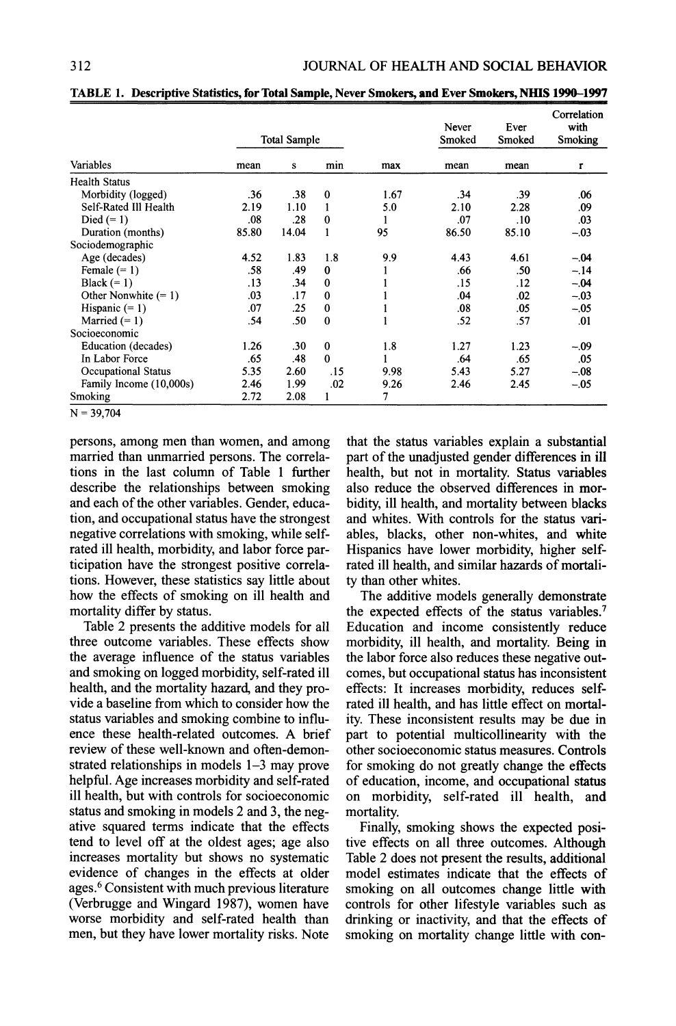|                                                                                                    |       |                     |              |      | JOURNAL OF HEALTH AND SOCIAL BEHAVIOR |                |                                |
|----------------------------------------------------------------------------------------------------|-------|---------------------|--------------|------|---------------------------------------|----------------|--------------------------------|
| TABLE 1. Descriptive Statistics, for Total Sample, Never Smokers, and Ever Smokers, NHIS 1990–1997 |       |                     |              |      |                                       |                |                                |
|                                                                                                    |       | <b>Total Sample</b> |              |      | Never<br>Smoked                       | Ever<br>Smoked | Correlation<br>with<br>Smoking |
| Variables                                                                                          | mean  | s                   | min          | max  | mean                                  | mean           | r                              |
| <b>Health Status</b>                                                                               |       |                     |              |      |                                       |                |                                |
| Morbidity (logged)                                                                                 | .36   | .38                 | $\bf{0}$     | 1.67 | .34                                   | .39            | .06                            |
| Self-Rated III Health                                                                              | 2.19  | 1.10                | 1            | 5.0  | 2.10                                  | 2.28           | .09                            |
| Died $(= 1)$                                                                                       | .08   | .28                 | $\bf{0}$     | 1    | .07                                   | .10            | .03                            |
| Duration (months)                                                                                  | 85.80 | 14.04               | $\mathbf{1}$ | 95   | 86.50                                 | 85.10          | $-.03$                         |
| Sociodemographic                                                                                   |       |                     |              |      |                                       |                |                                |
| Age (decades)                                                                                      | 4.52  | 1.83                | 1.8          | 9.9  | 4.43                                  | 4.61           | $-.04$                         |
| Female $(= 1)$                                                                                     | .58   | .49                 | $\bf{0}$     | 1    | .66                                   | .50            | $-.14$                         |
| Black $(= 1)$                                                                                      | .13   | .34                 | $\bf{0}$     | 1    | .15                                   | .12            | $-.04$                         |
| Other Nonwhite $(= 1)$                                                                             | .03   | .17                 | $\bf{0}$     | 1    | .04                                   | .02            | $-.03$                         |
| Hispanic $(= 1)$                                                                                   | .07   | .25                 | $\mathbf{0}$ | 1    | .08                                   | .05            | $-.05$                         |
| Married $(= 1)$                                                                                    | .54   | .50                 | $\mathbf{0}$ | 1    | .52                                   | .57            | .01                            |
| Socioeconomic                                                                                      |       |                     |              |      |                                       |                |                                |
| Education (decades)                                                                                | 1.26  | .30                 | $\bf{0}$     | 1.8  | 1.27                                  | 1.23           | $-.09$                         |
| In Labor Force                                                                                     | .65   | .48                 | $\Omega$     | 1    | .64                                   | .65            | .05                            |
| Occupational Status                                                                                | 5.35  | 2.60                | .15          | 9.98 | 5.43                                  | 5.27           | $-.08$                         |
| Family Income (10,000s)                                                                            | 2.46  | 1.99                | .02          | 9.26 | 2.46                                  | 2.45           | $-.05$                         |
| Smoking                                                                                            | 2.72  | 2.08                | 1            | 7    |                                       |                |                                |

TABLE 1. Descriptive Statistics, for Total Sample, Never Smokers, **and** Ever Smokers, **NHIS** 1990-1997

 $N = 39,704$ 

persons, among men than women, and among that the status variables explain a substantial married than unmarried persons. The correla-<br>tions in the last column of Table 1 further health, but not in mortality. Status variables tions in the last column of Table 1 further health, but not in mortality. Status variables describe the relationships between smoking also reduce the observed differences in morand each of the other variables. Gender, educa- bidity, ill health, and mortality between blacks tion, and occupational status have the strongest negative correlations with smoking, while self-<br>rates, blacks, other non-whites, and white<br>rated ill health, morbidity, and labor force par-<br>Hispanics have lower morbidity, higher selfticipation have the strongest positive correla- rated ill health, and similar hazards of mortalitions. However, these statistics say little about ty than other whites.<br>how the effects of smoking on ill health and The additive mod

three outcome variables. These effects show morbidity, ill health, and mortality. Being in the average influence of the status variables the labor force also reduces these negative outand smoking on logged morbidity, self-rated ill comes, but occupational status has inconsistent health, and the mortality hazard, and they pro-<br>effects: It increases morbidity, reduces selfvide a baseline from which to consider how the rated ill health, and has little effect on mortal-<br>status variables and smoking combine to influ-<br>ity. These inconsistent results may be due in status variables and smoking combine to influ- ity. These inconsistent results may be due in ence these health-related outcomes. A brief part to potential multicollinearity with the review of these well-known and often-demon-<br>strated relationships in models 1–3 may prove for smoking do not greatly change the effects strated relationships in models 1–3 may prove for smoking do not greatly change the effects helpful. Age increases morbidity and self-rated of education, income, and occupational status ill health, but with controls for socioeconomic on morbidity, self-rated ill health, and status and smoking in models 2 and 3, the neg- mortality. ative squared terms indicate that the effects Finally, smoking shows the expected positend to level off at the oldest ages; age also tive effects on all three outcomes. Although tend to level off at the oldest ages; age also tive effects on all three outcomes. Although increases mortality but shows no systematic Table 2 does not present the results, additional increases mortality but shows no systematic Table 2 does not present the results, additional evidence of changes in the effects at older model estimates indicate that the effects of ages.6 Consistent with much previous literature smoking on all outcomes change little with (Verbrugge and Wingard 1987), women have controls for other lifestyle variables such as worse morbidity and self-rated health than drinking or inactivity, and that the effects of men, but they have lower mortality risks. Note smoking on mortality change little with con-

also reduce the observed differences in mor-Hispanics have lower morbidity, higher self-

The additive models generally demonstrate mortality differ by status.<br>Table 2 presents the additive models for all Education and income consistently reduce Table 2 presents the additive models for all Education and income consistently reduce three outcome variables. These effects show morbidity, ill health, and mortality. Being in the labor force also reduces these negative outpart to potential multicollinearity with the of education, income, and occupational status

> model estimates indicate that the effects of smoking on mortality change little with con-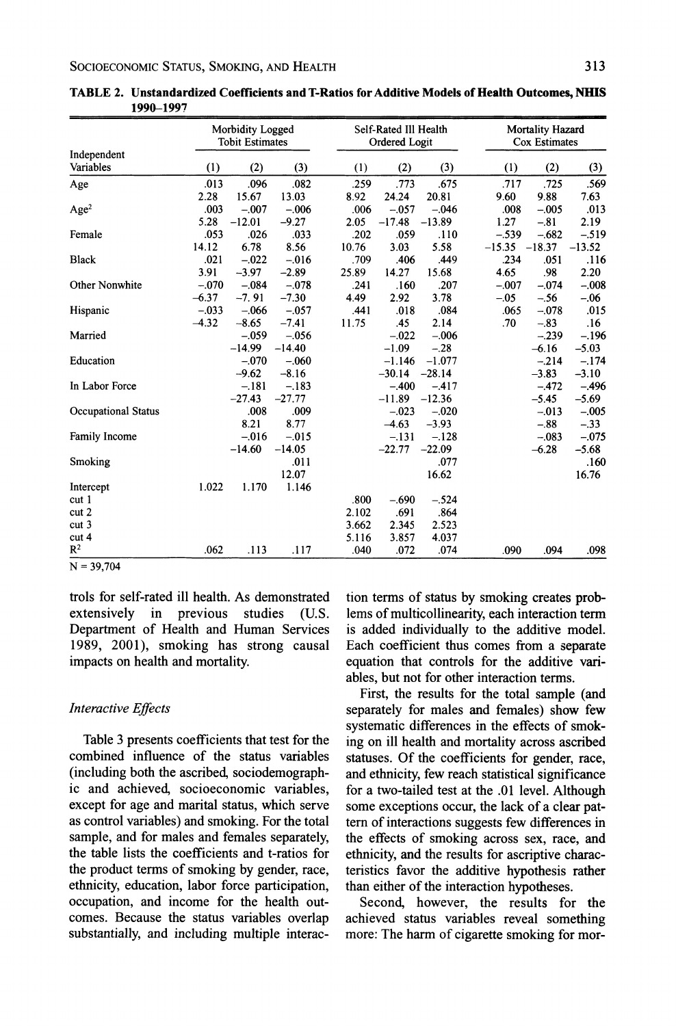|                            |         | Morbidity Logged<br><b>Tobit Estimates</b> |          |       | Self-Rated Ill Health<br>Ordered Logit |          |          | Mortality Hazard<br>Cox Estimates |          |  |
|----------------------------|---------|--------------------------------------------|----------|-------|----------------------------------------|----------|----------|-----------------------------------|----------|--|
| Independent<br>Variables   | (1)     | (2)                                        | (3)      | (1)   | (2)                                    | (3)      | (1)      | (2)                               | (3)      |  |
| Age                        | .013    | .096                                       | .082     | .259  | .773                                   | .675     | .717     | .725                              | .569     |  |
|                            | 2.28    | 15.67                                      | 13.03    | 8.92  | 24.24                                  | 20.81    | 9.60     | 9.88                              | 7.63     |  |
| Age <sup>2</sup>           | .003    | $-.007$                                    | $-.006$  | .006  | $-.057$                                | $-.046$  | .008     | $-.005$                           | .013     |  |
|                            | 5.28    | $-12.01$                                   | $-9.27$  | 2.05  | $-17.48$                               | $-13.89$ | 1.27     | $-.81$                            | 2.19     |  |
| Female                     | .053    | .026                                       | .033     | .202  | .059                                   | .110     | $-.539$  | $-.682$                           | $-.519$  |  |
|                            | 14.12   | 6.78                                       | 8.56     | 10.76 | 3.03                                   | 5.58     | $-15.35$ | $-18.37$                          | $-13.52$ |  |
| <b>Black</b>               | .021    | $-.022$                                    | $-.016$  | .709  | .406                                   | .449     | .234     | .051                              | .116     |  |
|                            | 3.91    | $-3.97$                                    | $-2.89$  | 25.89 | 14.27                                  | 15.68    | 4.65     | .98                               | 2.20     |  |
| <b>Other Nonwhite</b>      | $-.070$ | $-.084$                                    | $-.078$  | .241  | .160                                   | .207     | $-.007$  | $-.074$                           | $-.008$  |  |
|                            | $-6.37$ | $-7.91$                                    | $-7.30$  | 4.49  | 2.92                                   | 3.78     | $-.05$   | $-.56$                            | $-.06$   |  |
| Hispanic                   | $-.033$ | $-.066$                                    | $-.057$  | .441  | .018                                   | .084     | .065     | $-.078$                           | .015     |  |
|                            | $-4.32$ | $-8.65$                                    | $-7.41$  | 11.75 | .45                                    | 2.14     | .70      | $-.83$                            | .16      |  |
| Married                    |         | $-.059$                                    | $-.056$  |       | $-.022$                                | $-.006$  |          | $-.239$                           | $-.196$  |  |
|                            |         | $-14.99$                                   | $-14.40$ |       | $-1.09$                                | $-.28$   |          | $-6.16$                           | $-5.03$  |  |
| Education                  |         | $-.070$                                    | $-.060$  |       | $-1.146$                               | $-1.077$ |          | $-.214$                           | $-.174$  |  |
|                            |         | $-9.62$                                    | $-8.16$  |       | $-30.14$                               | $-28.14$ |          | $-3.83$                           | $-3.10$  |  |
| In Labor Force             |         | $-.181$                                    | $-.183$  |       | $-.400$                                | $-.417$  |          | $-.472$                           | $-.496$  |  |
|                            |         | $-27.43$                                   | $-27.77$ |       | $-11.89$                               | $-12.36$ |          | $-5.45$                           | $-5.69$  |  |
| <b>Occupational Status</b> |         | .008                                       | .009     |       | $-.023$                                | $-.020$  |          | $-.013$                           | $-.005$  |  |
|                            |         | 8.21                                       | 8.77     |       | $-4.63$                                | $-3.93$  |          | $-.88$                            | $-.33$   |  |
| Family Income              |         | $-.016$                                    | $-.015$  |       | $-.131$                                | $-.128$  |          | $-.083$                           | $-.075$  |  |
|                            |         | $-14.60$                                   | $-14.05$ |       | $-22.77$                               | $-22.09$ |          | $-6.28$                           | $-5.68$  |  |
| Smoking                    |         |                                            | .011     |       |                                        | .077     |          |                                   | .160     |  |
|                            |         |                                            | 12.07    |       |                                        | 16.62    |          |                                   | 16.76    |  |
| Intercept                  | 1.022   | 1.170                                      | 1.146    |       |                                        |          |          |                                   |          |  |
| cut 1                      |         |                                            |          | .800  | $-.690$                                | $-.524$  |          |                                   |          |  |
| cut 2                      |         |                                            |          | 2.102 | .691                                   | .864     |          |                                   |          |  |
| cut 3                      |         |                                            |          | 3.662 | 2.345                                  | 2.523    |          |                                   |          |  |
| cut 4                      |         |                                            |          | 5.116 | 3.857                                  | 4.037    |          |                                   |          |  |
| R <sup>2</sup>             | .062    | .113                                       | .117     | .040  | .072                                   | .074     | .090     | .094                              | .098     |  |

**TABLE 2. Unstandardized Coefficients and T-Ratios for Additive Models of Health Outcomes, NHIS 1990-1997** 

 $N = 39,704$ 

trols for self-rated ill health. As demonstrated extensively in previous studies (U.S. Department of Health and Human Services 1989, 2001), smoking has strong causal impacts on health and mortality.

# *Interactive Effects*

Table 3 presents coefficients that test for the combined influence of the status variables (including both the ascribed, sociodemographic and achieved, socioeconomic variables, except for age and marital status, which serve as control variables) and smoking. For the total sample, and for males and females separately, the table lists the coefficients and t-ratios for the product terms of smoking by gender, race, ethnicity, education, labor force participation, occupation, and income for the health outcomes. Because the status variables overlap substantially, and including multiple interaction terms of status by smoking creates problems of multicollinearity, each interaction term is added individually to the additive model. Each coefficient thus comes from a separate equation that controls for the additive variables, but not for other interaction terms.

First, the results for the total sample (and separately for males and females) show few systematic differences in the effects of smoking on ill health and mortality across ascribed statuses. Of the coefficients for gender, race, and ethnicity, few reach statistical significance for a two-tailed test at the .O1 level. Although some exceptions occur, the lack of a clear pattern of interactions suggests few differences in the effects of smoking across sex, race, and ethnicity, and the results for ascriptive characteristics favor the additive hypothesis rather than either of the interaction hypotheses.

Second, however, the results for the achieved status variables reveal something more: The harm of cigarette smoking for mor-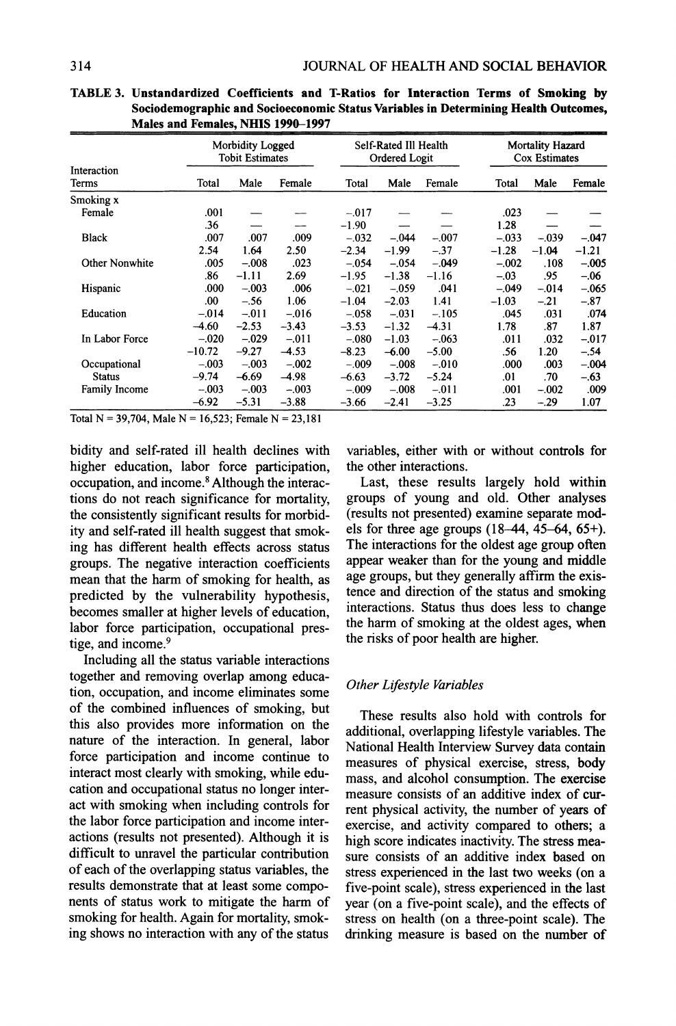|                      |             | Morbidity Logged<br><b>Tobit Estimates</b> |         |  |                    | Self-Rated Ill Health<br><b>Ordered Logit</b> |         |                 | Mortality Hazard<br>Cox Estimates |         |  |
|----------------------|-------------|--------------------------------------------|---------|--|--------------------|-----------------------------------------------|---------|-----------------|-----------------------------------|---------|--|
| Interaction<br>Terms | Total       | Male                                       | Female  |  | Total              | Male                                          | Female  | Total           | Male                              | Female  |  |
| Smoking x            |             |                                            |         |  |                    |                                               |         |                 |                                   |         |  |
| Female               | .001        |                                            |         |  | $-.017$            |                                               |         | .023            |                                   |         |  |
| <b>Black</b>         | .36<br>.007 | .007                                       | .009    |  | $-1.90$<br>$-.032$ | $-.044$                                       | $-.007$ | 1.28<br>$-0.33$ | $-.039$                           | $-.047$ |  |
|                      | 2.54        | 1.64                                       | 2.50    |  | $-2.34$            | $-1.99$                                       | $-.37$  | $-1.28$         | $-1.04$                           | $-1.21$ |  |
| Other Nonwhite       | .005        | $-.008$                                    | .023    |  | $-.054$            | $-.054$                                       | $-.049$ | $-.002$         | .108                              | $-.005$ |  |
|                      | .86         | $-1.11$                                    | 2.69    |  | $-1.95$            | $-1.38$                                       | $-1.16$ | $-.03$          | .95                               | $-.06$  |  |
| Hispanic             | .000        | $-.003$                                    | .006    |  | $-.021$            | $-.059$                                       | .041    | $-.049$         | $-.014$                           | $-.065$ |  |
|                      | .00.        | $-.56$                                     | 1.06    |  | $-1.04$            | $-2.03$                                       | 1.41    | $-1.03$         | $-.21$                            | $-.87$  |  |
| Education            | $-.014$     | $-.011$                                    | $-.016$ |  | $-.058$            | $-.031$                                       | $-.105$ | .045            | .031                              | .074    |  |
|                      | $-4.60$     | $-2.53$                                    | $-3.43$ |  | $-3.53$            | $-1.32$                                       | $-4.31$ | 1.78            | .87                               | 1.87    |  |
| In Labor Force       | $-.020$     | $-.029$                                    | $-.011$ |  | $-.080$            | $-1.03$                                       | $-.063$ | .011            | .032                              | $-.017$ |  |
|                      | $-10.72$    | $-9.27$                                    | $-4.53$ |  | $-8.23$            | $-6.00$                                       | $-5.00$ | .56             | 1.20                              | $-.54$  |  |
| Occupational         | $-.003$     | $-.003$                                    | $-.002$ |  | $-.009$            | $-.008$                                       | $-.010$ | .000            | .003                              | $-.004$ |  |
| <b>Status</b>        | $-9.74$     | $-6.69$                                    | $-4.98$ |  | $-6.63$            | $-3.72$                                       | $-5.24$ | .01             | .70                               | $-.63$  |  |
| <b>Family Income</b> | $-.003$     | $-.003$                                    | $-.003$ |  | $-.009$            | $-.008$                                       | $-.011$ | .001            | $-.002$                           | .009    |  |
|                      | $-6.92$     | $-5.31$                                    | $-3.88$ |  | $-3.66$            | $-2.41$                                       | $-3.25$ | .23             | $-.29$                            | 1.07    |  |

**TABLE 3. Unstandardized Coefficients and T-Ratios for Interaction Terms of Smoking by Sociodemographic and Socioeconomic Status Variables in Determining Health Outcomes, Males and Females. NHIS 1990-1997** 

Total N = 39,704, Male N = 16,523; Female N = 23,181

higher education, labor force participation, the other interactions. occupation, and income.<sup>8</sup> Although the interac-<br>tions do not reach significance for mortality, groups of young and old. Other analyses tions do not reach significance for mortality, groups of young and old. Other analyses the consistently significant results for morbid- (results not presented) examine separate modthe consistently significant results for morbidity and self-rated ill health suggest that smok- els for three age groups **(18-44,** 45-64, **65+).**  ing has different health effects across status The interactions for the oldest age group often<br>groups. The negative interaction coefficients appear weaker than for the young and middle groups. The negative interaction coefficients appear weaker than for the young and middle<br>mean that the harm of smoking for health as age groups, but they generally affirm the exismean that the harm of smoking for health, as age groups, but they generally affirm the exis-<br>needicted by the vulnerability hypothesis tence and direction of the status and smoking predicted by the vulnerability hypothesis, tence and direction of the status and smoking<br>becomes smaller at higher layels of education interactions. Status thus does less to change becomes smaller at higher levels of education, interactions. Status thus does less to change<br>labor force perticipation, occupational press, the harm of smoking at the oldest ages, when labor force participation, occupational pres-<br>tige, and income.<sup>9</sup>

Including all the status variable interactions together and removing overlap among education, occupation, and income eliminates some of the combined influences of smoking, but<br>this also hold with controls for<br>this also provides more information on the<br>additional, overlapping lifestyle variables. The<br>nature of the interaction. In general, labor<br>Noticeal rature of the interaction. In general, labor<br>force participation and income continue to<br>interact most clearly with smoking, while edu-<br>mass, and alcohol consumption. The exercise cation and occupational status no longer inter-<br>act with smoking when including controls for<br>rent physical activity the number of vears of act with smoking when including controls for rent physical activity, the number of years of the labor force participation and income inter-<br>exercise and activity compared to others: a the labor force participation and income inter-<br>actions (results not presented). Although it is high score indicates inactivity. The stress meaactions (results not presented). Although it is high score indicates inactivity. The stress mea-<br>difficult to unravel the particular contribution sure consists of an additive index based on difficult to unravel the particular contribution sure consists of an additive index based on of each of the overlapping status variables, the stress experienced in the last two weeks (on a of each of the overlapping status variables, the stress experienced in the last two weeks (on a results demonstrate that at least some compo-<br>Five-point scale) stress experienced in the last results demonstrate that at least some compo-<br>net scale), stress experienced in the last<br>nents of status work to mitigate the harm of vear (on a five-point scale), and the effects of nents of status work to mitigate the harm of year (on a five-point scale), and the effects of smoking for health. Again for mortality, smok-<br>stress on health (on a three-point scale). The smoking for health. Again for mortality, smok-<br>ing shows no interaction with any of the status<br>drinking measure is based on the number of

bidity and self-rated ill health declines with variables, either with or without controls for

the risks of poor health are higher.

#### *Other Lifestyle Variables*

drinking measure is based on the number of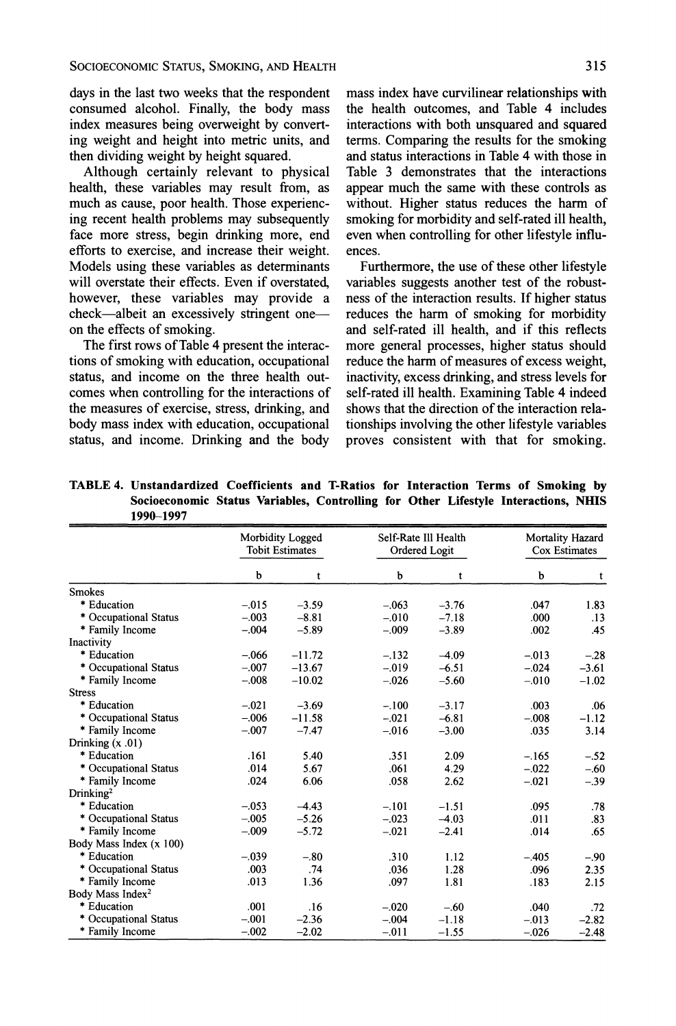days in the last two weeks that the respondent consumed alcohol. Finally, the body mass index measures being overweight by converting weight and height into metric units, and then dividing weight by height squared.

Although certainly relevant to physical health, these variables may result from, as much as cause, poor health. Those experiencing recent health problems may subsequently face more stress, begin drinking more, end efforts to exercise, and increase their weight. Models using these variables as determinants will overstate their effects. Even if overstated, however, these variables may provide a check-albeit an excessively stringent oneon the effects of smoking.

The first rows of Table 4 present the interactions of smoking with education, occupational status, and income on the three health outcomes when controlling for the interactions of the measures of exercise, stress, drinking, and body mass index with education, occupational status, and income. Drinking and the body

mass index have curvilinear relationships with the health outcomes, and Table 4 includes interactions with both unsquared and squared terms. Comparing the results for the smoking and status interactions in Table 4 with those in Table **3** demonstrates that the interactions appear much the same with these controls as without. Higher status reduces the harm of smoking for morbidity and self-rated ill health, even when controlling for other lifestyle influences.

Furthermore, the use of these other lifestyle variables suggests another test of the robustness of the interaction results. If higher status reduces the harm of smoking for morbidity and self-rated ill health, and if this reflects more general processes, higher status should reduce the harm of measures of excess weight, inactivity, excess drinking, and stress levels for self-rated ill health. Examining Table 4 indeed shows that the direction of the interaction relationships involving the other lifestyle variables proves consistent with that for smoking.

|                              | Morbidity Logged<br><b>Tobit Estimates</b> |          |          | Self-Rate Ill Health<br>Ordered Logit | Mortality Hazard<br>Cox Estimates |         |
|------------------------------|--------------------------------------------|----------|----------|---------------------------------------|-----------------------------------|---------|
|                              | þ                                          | t        | b        | t                                     | b                                 | t       |
| <b>Smokes</b>                |                                            |          |          |                                       |                                   |         |
| * Education                  | $-.015$                                    | $-3.59$  | $-.063$  | $-3.76$                               | .047                              | 1.83    |
| * Occupational Status        | $-.003$                                    | $-8.81$  | $-.010$  | $-7.18$                               | .000                              | .13     |
| * Family Income              | $-.004$                                    | $-5.89$  | $-.009$  | $-3.89$                               | .002                              | .45     |
| Inactivity                   |                                            |          |          |                                       |                                   |         |
| * Education                  | $-.066$                                    | $-11.72$ | $-.132$  | $-4.09$                               | $-.013$                           | $-.28$  |
| * Occupational Status        | $-.007$                                    | $-13.67$ | $-019$   | $-6.51$                               | $-.024$                           | $-3.61$ |
| * Family Income              | $-.008$                                    | $-10.02$ | $-0.026$ | $-5.60$                               | $-.010$                           | $-1.02$ |
| <b>Stress</b>                |                                            |          |          |                                       |                                   |         |
| * Education                  | $-.021$                                    | $-3.69$  | $-.100$  | $-3.17$                               | .003                              | .06     |
| * Occupational Status        | $-.006$                                    | $-11.58$ | $-.021$  | $-6.81$                               | $-.008$                           | $-1.12$ |
| * Family Income              | $-.007$                                    | $-7.47$  | $-.016$  | $-3.00$                               | .035                              | 3.14    |
| Drinking $(x.01)$            |                                            |          |          |                                       |                                   |         |
| * Education                  | .161                                       | 5.40     | .351     | 2.09                                  | $-.165$                           | $-.52$  |
| * Occupational Status        | .014                                       | 5.67     | .061     | 4.29                                  | $-.022$                           | $-.60$  |
| * Family Income              | .024                                       | 6.06     | .058     | 2.62                                  | $-.021$                           | $-.39$  |
| Drinking <sup>2</sup>        |                                            |          |          |                                       |                                   |         |
| * Education                  | $-.053$                                    | $-4.43$  | $-.101$  | $-1.51$                               | .095                              | .78     |
| * Occupational Status        | $-.005$                                    | $-5.26$  | $-.023$  | $-4.03$                               | .011                              | .83     |
| * Family Income              | $-.009$                                    | $-5.72$  | $-.021$  | $-2.41$                               | .014                              | .65     |
| Body Mass Index (x 100)      |                                            |          |          |                                       |                                   |         |
| * Education                  | $-.039$                                    | $-.80$   | .310     | 1.12                                  | $-.405$                           | $-.90$  |
| * Occupational Status        | .003                                       | .74      | .036     | 1.28                                  | .096                              | 2.35    |
| * Family Income              | .013                                       | 1.36     | .097     | 1.81                                  | .183                              | 2.15    |
| Body Mass Index <sup>2</sup> |                                            |          |          |                                       |                                   |         |
| * Education                  | .001                                       | .16      | $-.020$  | $-.60$                                | .040                              | .72     |
| * Occupational Status        | $-.001$                                    | $-2.36$  | $-.004$  | $-1.18$                               | $-.013$                           | $-2.82$ |
| * Family Income              | $-.002$                                    | $-2.02$  | $-011$   | $-1.55$                               | $-.026$                           | $-2.48$ |

**TABLE 4. Unstandardized Coefficients and T-Ratios for Interaction Terms of Smoking by Socioeconomic Status Variables, Controlling for Other Lifestyle Interactions, NHIS 1990-1997**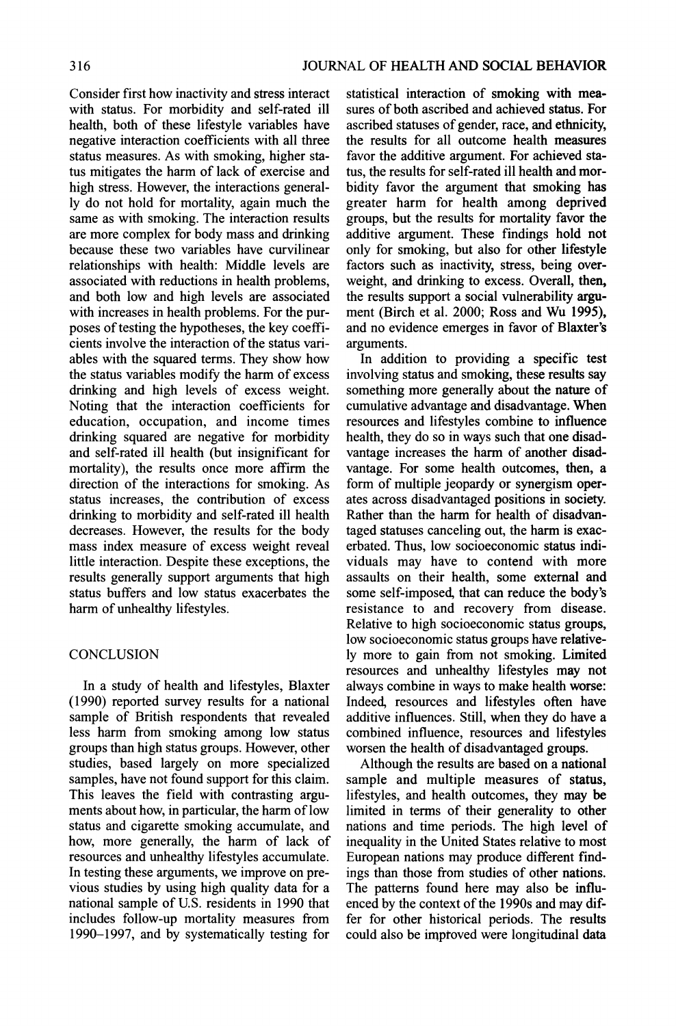Consider first how inactivity and stress interact with status. For morbidity and self-rated ill health, both of these lifestyle variables have negative interaction coefficients with all three status measures. As with smoking, higher status mitigates the harm of lack of exercise and high stress. However, the interactions generally do not hold for mortality, again much the same as with smoking. The interaction results are more complex for body mass and drinking because these two variables have curvilinear relationships with health: Middle levels are associated with reductions in health problems, and both low and high levels are associated with increases in health problems. For the purposes of testing the hypotheses, the key coefficients involve the interaction of the status variables with the squared terms. They show how the status variables modify the harm of excess drinking and high levels of excess weight. Noting that the interaction coefficients for education, occupation, and income times drinking squared are negative for morbidity and self-rated ill health (but insignificant for mortality), the results once more affirm the direction of the interactions for smoking. As status increases, the contribution of excess drinking to morbidity and self-rated ill health decreases. However, the results for the body mass index measure of excess weight reveal little interaction. Despite these exceptions, the results generally support arguments that high status buffers and low status exacerbates the harm of unhealthy lifestyles.

# **CONCLUSION**

In a study of health and lifestyles, Blaxter (1990) reported survey results for a national sample of British respondents that revealed less harm from smoking among low status groups than high status groups. However, other studies, based largely on more specialized samples, have not found support for this claim. This leaves the field with contrasting arguments about how, in particular, the harm of low status and cigarette smoking accumulate, and how, more generally, the harm of lack of resources and unhealthy lifestyles accumulate. In testing these arguments, we improve on previous studies by using high quality data for a national sample of U.S. residents in 1990 that includes follow-up mortality measures from 1990-1997, and by systematically testing for

statistical interaction of smoking with measures of both ascribed and achieved status. For ascribed statuses of gender, race, and ethnicity, the results for all outcome health measures favor the additive argument. For achieved status, the results for self-rated ill health and morbidity favor the argument that smoking has greater harm for health among deprived groups, but the results for mortality favor the additive argument. These findings hold not only for smoking, but also for other lifestyle factors such as inactivity, stress, being overweight, and drinking to excess. Overall, then, the results support a social vulnerability argument (Birch et al. 2000; Ross and Wu 1995), and no evidence emerges in favor of Blaxter's arguments.

In addition to providing a specific test involving status and smoking, these results say something more generally about the nature of cumulative advantage and disadvantage. When resources and lifestyles combine to influence health, they do so in ways such that one disadvantage increases the harm of another disadvantage. For some health outcomes, then, a form of multiple jeopardy or synergism operates across disadvantaged positions in society. Rather than the harm for health of disadvantaged statuses canceling out, the harm is exacerbated. Thus, low socioeconomic status individuals may have to contend with more assaults on their health, some external and some self-imposed, that can reduce the body's resistance to and recovery from disease. Relative to high socioeconomic status groups, low socioeconomic status groups have relatively more to gain from not smoking. Limited resources and unhealthy lifestyles may not always combine in ways to make health worse: Indeed, resources and lifestyles often have additive influences. Still, when they do have a combined influence, resources and lifestyles worsen the health of disadvantaged groups.

Although the results are based on a national sample and multiple measures of status, lifestyles, and health outcomes, they may be limited in terms of their generality to other nations and time periods. The high level of inequality in the United States relative to most European nations may produce different findings than those from studies of other nations. The patterns found here may also be influenced by the context of the 1990s and may differ for other historical periods. The results could also be improved were longitudinal **data**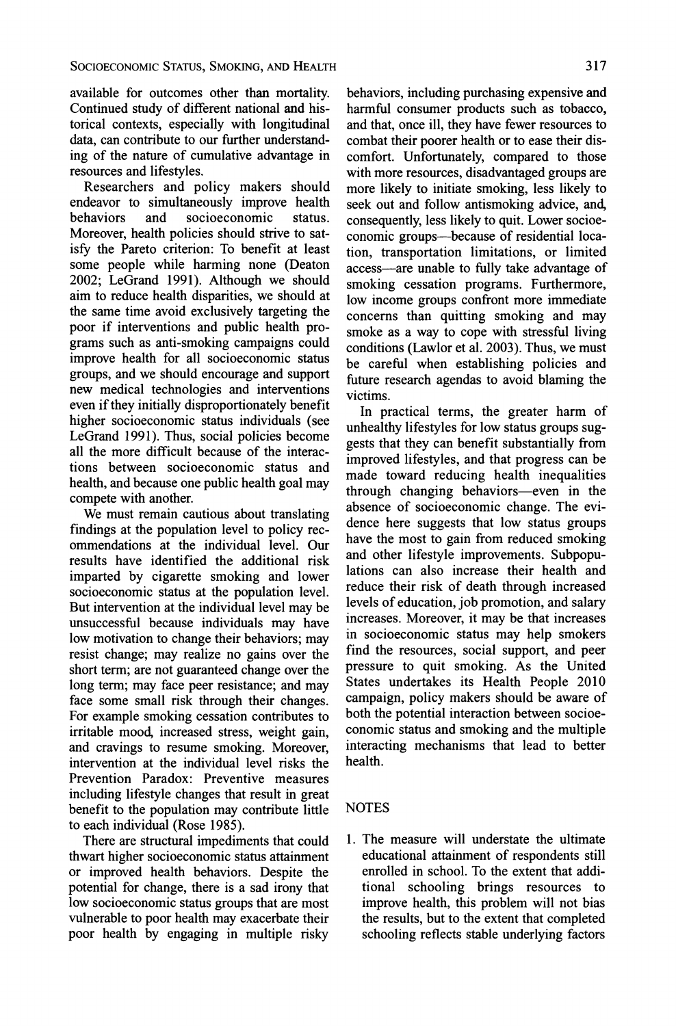available for outcomes other than mortality. Continued study of different national and historical contexts, especially with longitudinal data, can contribute to our further understanding of the nature of cumulative advantage in resources and lifestyles.

Researchers and policy makers should endeavor to simultaneously improve health behaviors and socioeconomic status. Moreover, health policies should strive to satisfy the Pareto criterion: To benefit at least some people while harming none (Deaton 2002; LeGrand 1991). Although we should aim to reduce health disparities, we should at the same time avoid exclusively targeting the poor if interventions and public health programs such as anti-smoking campaigns could improve health for all socioeconomic status groups, and we should encourage and support new medical technologies and interventions even if they initially disproportionately benefit higher socioeconomic status individuals (see LeGrand 1991). Thus, social policies become all the more difficult because of the interactions between socioeconomic status and health, and because one public health goal may compete with another.

We must remain cautious about translating findings at the population level to policy recommendations at the individual level. Our results have identified the additional risk imparted by cigarette smoking and lower socioeconomic status at the population level. But intervention at the individual level may be unsuccessful because individuals may have low motivation to change their behaviors; may resist change; may realize no gains over the short term; are not guaranteed change over the long term; may face peer resistance; and may face some small risk through their changes. For example smoking cessation contributes to irritable mood, increased stress, weight gain, and cravings to resume smoking. Moreover, intervention at the individual level risks the Prevention Paradox: Preventive measures including lifestyle changes that result in great benefit to the population may contribute little to each individual (Rose 1985).

There are structural impediments that could thwart higher socioeconomic status attainment or improved health behaviors. Despite the potential for change, there is a sad irony that low socioeconomic status groups that are most vulnerable to poor health may exacerbate their poor health by engaging in multiple risky

behaviors, including purchasing expensive and harmful consumer products such as tobacco, and that, once ill, they have fewer resources to combat their poorer health or to ease their discomfort. Unfortunately, compared to those with more resources, disadvantaged groups are more likely to initiate smoking, less likely to seek out and follow antismoking advice, and, consequently, less likely to quit. Lower socioeconomic groups-because of residential location, transportation limitations, or limited access-are unable to fully take advantage of smoking cessation programs. Furthermore, low income groups confront more immediate concerns than quitting smoking and may smoke as a way to cope with stressful living conditions (Lawlor et al. 2003). Thus, we must be careful when establishing policies and future research agendas to avoid blaming the victims.

In practical terms, the greater harm of unhealthy lifestyles for low status groups suggests that they can benefit substantially from improved lifestyles, and that progress can be made toward reducing health inequalities through changing behaviors-even in the absence of socioeconomic change. The evidence here suggests that low status groups have the most to gain from reduced smoking and other lifestyle improvements. Subpopulations can also increase their health and reduce their risk of death through increased levels of education, job promotion, and salary increases. Moreover, it may be that increases in socioeconomic status may help smokers find the resources, social support, and peer pressure to quit smoking. As the United States undertakes its Health People 2010 campaign, policy makers should be aware of both the potential interaction between socioeconomic status and smoking and the multiple interacting mechanisms that lead to better health.

# **NOTES**

1. The measure will understate the ultimate educational attainment of respondents still enrolled in school. To the extent that additional schooling brings resources to improve health, this problem will not bias the results, but to the extent that completed schooling reflects stable underlying factors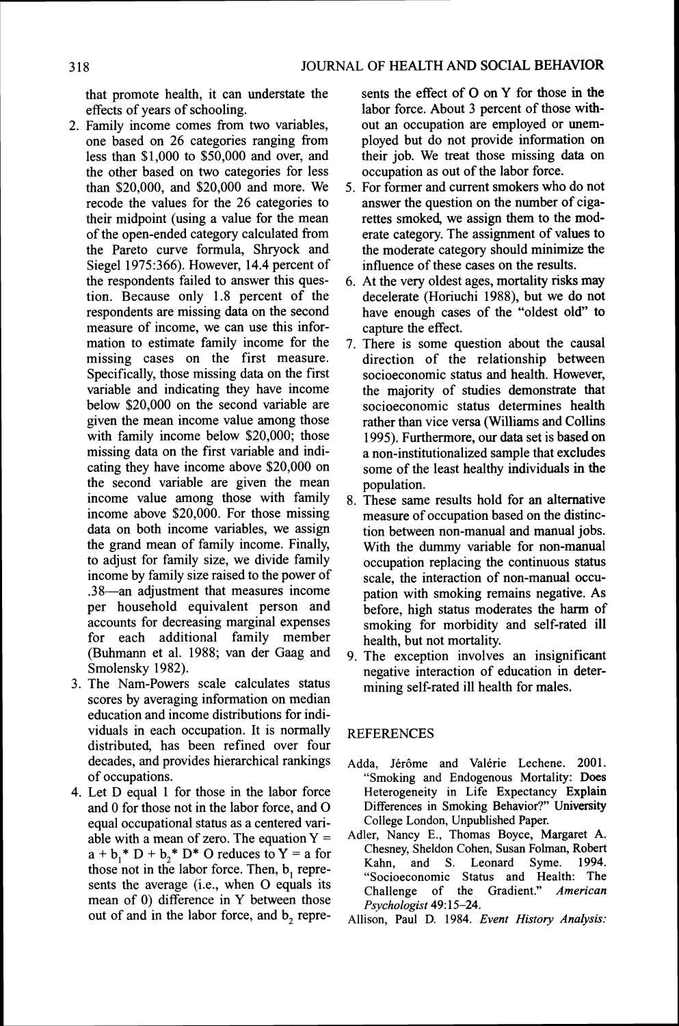that promote health, it can understate the effects of years of schooling.

- 2. Family income comes from two variables, one based on 26 categories ranging from less than \$1,000 to \$50,000 and over, and the other based on two categories for less than \$20,000, and \$20,000 and more. We recode the values for the 26 categories to their midpoint (using a value for the mean of the open-ended category calculated from the Pareto curve formula, Shryock and Siege1 1975:366). However, 14.4 percent of the respondents failed to answer this question. Because only 1.8 percent of the respondents are missing data on the second measure of income, we can use this information to estimate family income for the missing cases on the first measure. Specifically, those missing data on the first variable and indicating they have income below \$20,000 on the second variable are given the mean income value among those with family income below \$20,000; those missing data on the first variable and indicating they have income above \$20,000 on the second variable are given the mean income value among those with family income above \$20,000. For those missing data on both income variables, we assign the grand mean of family income. Finally, to adjust for family size, we divide family income by family size raised to the power of .38-an adjustment that measures income per household equivalent person and accounts for decreasing marginal expenses for each additional family member (Buhmann et al. 1988; van der Gaag and Smolensky 1982).
- 3. The Nam-Powers scale calculates status scores by averaging information on median education and income distributions for individuals in each occupation. It is normally distributed, has been refined over four decades, and provides hierarchical rankings of occupations.
- 4. Let D equal 1 for those in the labor force and 0 for those not in the labor force, and 0 equal occupational status as a centered variable with a mean of zero. The equation  $Y =$  $a + b_1^* D + b_2^* D^* O$  reduces to  $Y = a$  for those not in the labor force. Then, b, represents the average (i.e., when O equals its mean of 0) difference in Y between those out of and in the labor force, and b, repre-

sents the effect of **0**on Y for those in the labor force. About **3** percent of those without an occupation are employed or unemployed but do not provide information on their job. We treat those missing **data** on occupation as out of the labor force.

- 5. For former and current smokers who do not answer the question on the number of cigarettes smoked, we assign them to the moderate category. The assignment of values to the moderate category should minimize the influence of these cases on the results.
- 6. At the very oldest ages, mortality risks may decelerate (Horiuchi 1988), but we do not have enough cases of the "oldest old" to capture the effect.
- 7. There is some question about the causal direction of the relationship between socioeconomic status and health. However, the majority of studies demonstrate that socioeconomic status determines health rather than vice versa (Williams and Collins 1995). Furthermore, our **data** set is based on a non-institutionalized sample that excludes some of the least healthy individuals in the population.
- 8. These same results hold for an alternative measure of occupation based on the distinction between non-manual and manual jobs. With the dummy variable for non-manual occupation replacing the continuous status scale, the interaction of non-manual occupation with smoking remains negative. As before, high status moderates the harm of smoking for morbidity and self-rated ill health, but not mortality.
- 9. The exception involves an insignificant negative interaction of education in determining self-rated ill health for males.

# **REFERENCES**

- Adda, Jérôme and Valérie Lechene. 2001. "Smoking and Endogenous Mortality: **Does**  Heterogeneity in Life Expectancy Explain Differences in Smoking Behavior?" University College London, Unpublished Paper.
- Adler, Nancy E., Thomas Boyce, Margaret **A.**  Chesney, Sheldon Cohen, Susan Folman, Robert Kahn, and S. Leonard Syme. 1994. Socioeconomic Status and Health: The<br>Challenge of the Gradient." *American* Challenge of the Gradient." *American Psvchologist* 49: 1 *5-24.*
- Allison, Paul D. 1984. *Event History Analysis:*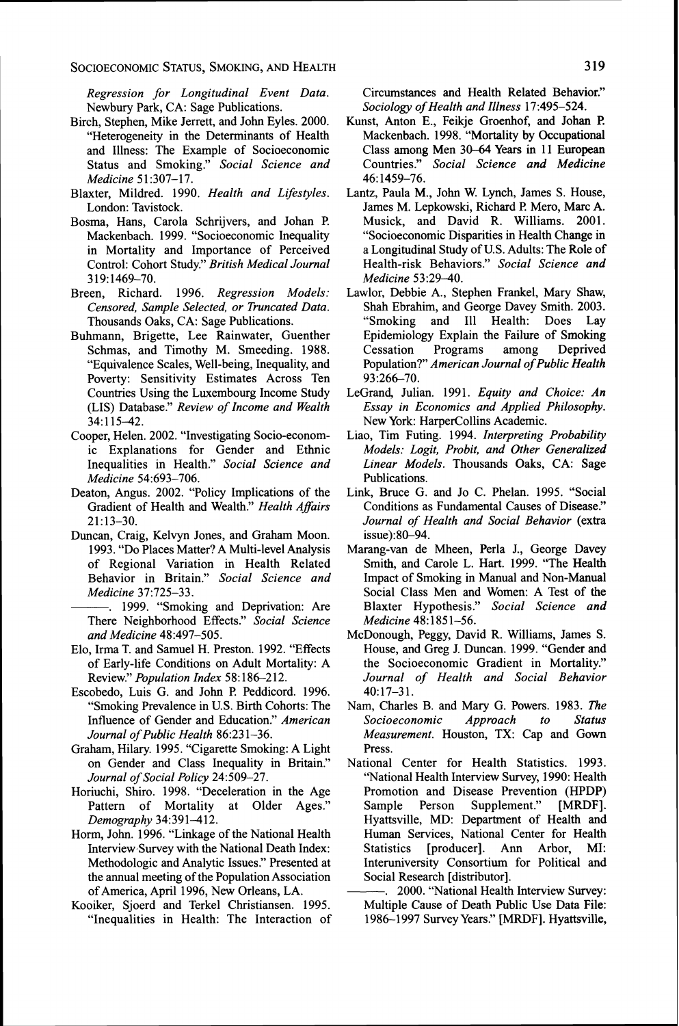*Regression for Longitudinal Event Data.*  Newbury Park, CA: Sage Publications.

- Birch, Stephen, Mike Jerrett, and John Eyles. 2000. "Heterogeneity in the Determinants of Health and Illness: The Example of Socioeconomic Status and Smoking." *Social Science and Medicine* 5 1 :307-17.
- Blaxter, Mildred. 1990. *Health and Lifestyles.*  London: Tavistock.
- Bosma, Hans, Carola Schrijvers, and Johan P. Mackenbach. 1999. "Socioeconomic Inequality in Mortality and Importance of Perceived Control: Cohort Study." *British Medical Journal*  319:1469-70.
- Breen, Richard. 1996. *Regression Models: Censored, Sample Selected, or Truncated Data.*  Thousands Oaks, CA: Sage Publications.
- Buhmann, Brigette, Lee Rainwater, Guenther Schmas, and Timothy M. Smeeding. 1988. "Equivalence Scales, Well-being, Inequality, and Poverty: Sensitivity Estimates Across Ten Countries Using the Luxembourg Income Study (LIS) Database." *Review of Income and Wealth*  34:115-42.
- Cooper, Helen. 2002. "Investigating Socio-economic Explanations for Gender and Ethnic Inequalities in Health." *Social Science and Medicine* 54:693-706.
- Deaton, Angus. 2002. "Policy Implications of the Gradient of Health and Wealth." *Health Affairs*  21:13-30.
- Duncan, Craig, Kelvyn Jones, and Graham Moon. 1993. "Do Places Matter? A Multi-level Analysis of Regional Variation in Health Related Behavior in Britain." *Social Science and Medicine* 37:725-33.
	- . 1999. "Smoking and Deprivation: Are There Neighborhood Effects." *Social Science and Medicine* 48:497-505.
- Elo, Irma T. and Samuel H. Preston. 1992. "Effects of Early-life Conditions on Adult Mortality: A Review." *Population Index* 58: 186-212.
- Escobedo, Luis G. and John P. Peddicord. 1996. "Smoking Prevalence in U.S. Birth Cohorts: The Influence of Gender and Education." *American Journal of Public Health* 86:23 1-36.
- Graham, Hilary. 1995. "Cigarette Smoking: A Light on Gender and Class Inequality in Britain." Journal of Social Policy 24:509-27.
- Horiuchi, Shiro. 1998. "Deceleration in the Age Pattern of Mortality at Older Ages." *Demography* 34:391-412.
- Horm, John. 1996. "Linkage of the National Health Interview Survey with the National Death Index: Methodologic and Analytic Issues." Presented at the annual meeting of the Population Association of America, April 1996, New Orleans, LA.
- Kooiker, Sjoerd and Terkel Christiansen. 1995. "Inequalities in Health: The Interaction of

Circumstances and Health Related Behavior." *Sociology of Health and Illness* 17:495-524.

- Kunst, Anton E., Feikje Groenhof, and Johan P. Mackenbach. 1998. "Mortality by Occupational Class among Men 30-64 Years in 11 European Countries." *Social Science and Medicine*  46:1459-76.
- Lantz, Paula M., John W. Lynch, James S. House, James M. Lepkowski, Richard **P.** Mero, Marc A. Musick, and David R. Williams. 2001. "Socioeconomic Disparities in Health Change in a Longitudinal Study of U.S. Adults: The Role of Health-risk Behaviors." *Social Science and Medicine* 53:29-40.
- Lawlor, Debbie A., Stephen Frankel, Mary Shaw, Shah Ebrahim, and George Davey Smith. 2003.<br>"Smoking and Ill Health: Does Lay Health: Does Lay Epidemiology Explain the Failure of Smoking Cessation Programs among Deprived Population?'American *Journal of Public Health*  93 :266-70.
- LeGrand, Julian. 1991. *Equity and Choice: An Essay in Economics and Applied Philosophy.*  New York: HarperCollins Academic.
- Liao, Tim Futing. 1994. *Interpreting Probability Models: Logit, Probit, and Other Generalized Linear Models.* Thousands Oaks, CA: Sage Publications.
- Link, Bruce G. and Jo C. Phelan. 1995. "Social Conditions as Fundamental Causes of Disease." *Journal of Health and Social Behavior* (extra issue): 80-94.
- Marang-van de Mheen, Perla J., George Davey Smith, and Carole L. Hart. 1999. "The Health Impact of Smoking in Manual and Non-Manual Social Class Men and Women: A Test of the Blaxter Hypothesis." *Social Science and Medicine* 48: 185 1-56.
- McDonough, Peggy, David R. Williams, James S. House, and Greg J. Duncan. 1999. "Gender and the Socioeconomic Gradient in Mortality." *Journal of Health and Social Behavior*  40:17-31.
- Nam, Charles B. and Mary G. Powers. 1983. *The Socioeconomic Approach to Status Measurement.* Houston, TX: Cap and Gown Press.
- National Center for Health Statistics. 1993. "National Health Interview Survey, 1990: Health Promotion and Disease Prevention (HPDP) Sample Person Supplement." [MRDF]. Hyattsville, MD: Department of Health and Human Services, National Center for Health Statistics [producer]. Ann Arbor, MI: Interuniversity Consortium for Political and Social Research [distributor].
	- . 2000. "National Health Interview Survey: Multiple Cause of Death Public Use Data File: 1986-1997 Survey Years." [MRDF]. Hyattsville,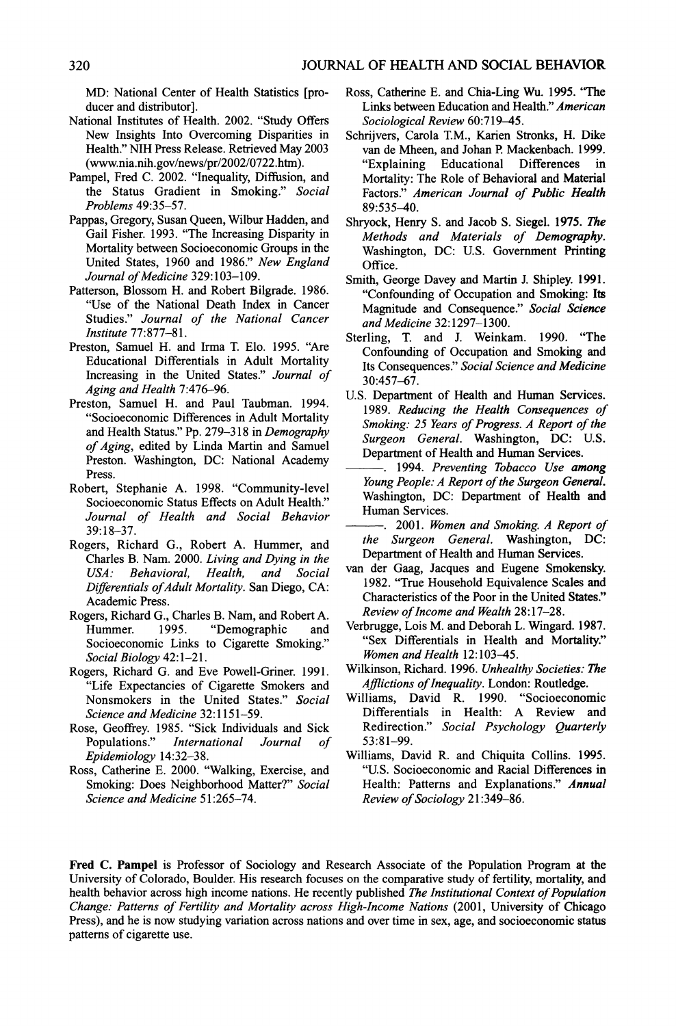MD: National Center of Health Statistics [producer and distributor].

- National Institutes of Health. 2002. "Study Offers New Insights Into Overcoming Disparities in Health." NIH Press Release. Retrieved May 2003 **(www.nia.nih.gov/news/pr/2002/0722.htm).**
- Pampel, Fred C. 2002. "Inequality, Diffusion, and the Status Gradient in Smoking." *Social Problems* 49:35-57.
- Pappas, Gregory, Susan Queen, Wilbur Hadden, and Gail Fisher. 1993. "The Increasing Disparity in Mortality between Socioeconomic Groups in the United States, 1960 and 1986." *New England Journal of Medicine* 329: 103-109.
- Patterson, Blossom H. and Robert Bilgrade. 1986. "Use of the National Death Index in Cancer Studies." *Journal of the National Cancer Institute* 77:877-8 1.
- Preston, Samuel H. and Irma T. Elo. 1995. "Are Educational Differentials in Adult Mortality Increasing in the United States." *Journal of Aging and Health* 71476-96.
- Preston, Samuel H. and Paul Taubman. 1994. "Socioeconomic Differences in Adult Mortality and Health Status." Pp. 279-3 18 in *Demography of Aging,* edited by Linda Martin and Samuel Preston. Washington, DC: National Academy Press.
- Robert, Stephanie A. 1998. "Community-level Socioeconomic Status Effects on Adult Health." *Journal of Health and Social Behavior*  39:18-37.
- Rogers, Richard G., Robert A. Hummer, and Charles B. Nam. 2000. *Living and Dying in the USA: Behavioral, Dgtrerentials ofAdult Mortality.* San Diego, CA: Academic Press.
- Rogers, Richard G., Charles B. Nam, and Robert A. Hummer. 1995. "Demographic and Socioeconomic Links to Cigarette Smoking." *Social Biology* 42: 1-2 1.
- Rogers, Richard G. and Eve Powell-Griner. 199 1. "Life Expectancies of Cigarette Smokers and Nonsmokers in the United States." *Social Science and Medicine* 32: 1 15 1-59.
- Rose, Geoffrey. 1985. "Sick Individuals and Sick<br>Populations." International Journal of Populations." *International Journal of Epidemiology* 14:32-3 8.
- Ross, Catherine E. 2000. "Walking, Exercise, and Smoking: Does Neighborhood Matter?" *Social Science and Medicine* 5 1 :265-74.
- Ross, Catherine E. and Chia-Ling Wu. 1995. "The Links between Education and Health." *American*  Sociological Review 60:719-45.
- Schrijvers, Carola T.M., Karien Stronks, H. Dike van de Mheen, and Johan P. Mackenbach. 1999. "Explaining Educational Differences in Mortality: The Role of Behavioral and Material Factors." *American Journal of Public Health*  89:535-40.
- Shryock, Henry S. and Jacob S. Siegel. 1975. *The Methods and Materials of Demography.*  Washington, DC: U.S. Government Printing Office.
- Smith, George Davey and Martin J. Shipley. 1991. "Confounding of Occupation and Smoking: **Its**  Magnitude and Consequence." *Social Science and Medicine* 32: 1297-1300.
- Sterling, T. and J. Weinkam. 1990. "The Confounding of Occupation and Smoking and Its Consequences." *Social Science and Medicine*  30:457-67.
- U.S. Department of Health and Human Services. 1989. *Reducing the Health Consequences of Smoking:* 25 *Years of Progress. A Report of the Surgeon General.* Washington, *DC:* U.S. Department of Health and Human Services.
	- . 1994. *Preventing Tobacco Use among Young People: A Report of the Surgeon Geneml.*  Washington, DC: Department of Health **and**  Human Services.
	- . 2001. *Women and Smoking. A Report of the Surgeon General.* Washington, DC: Department of Health and Human Services.
- van der Gaag, Jacques and Eugene Smokensky. 1982. "True Household Equivalence Scales and Characteristics of the Poor in the United States." *Review of Income and Wealth* 28: 17-28.
- Verbrugge, Lois M. and Deborah L. Wingard. 1987. "Sex Differentials in Health and Mortality." *Women and Health* 12:103-45.
- Wilkinson, Richard. 1996. *Unhealthy Societies: The Aflictions of Inequality.* London: Routledge.
- Williams, David R. 1990. "Socioeconomic Differentials in Health: A Review and Redirection." *Social Psychology Quarterly*  53:81-99.
- Williams, David R. and Chiquita Collins. 1995. "U.S. Socioeconomic and Racial Differences in Health: Patterns and Explanations." *Annual Review of Sociology* 2 1 :349-86.

**Fred C. Pampel** is Professor of Sociology and Research Associate of the Population Program at the University of Colorado, Boulder. His research focuses on the comparative study of fertility, mortality, and health behavior across high income nations. He recently published *The Institutional Context of Population Change: Patterns of Fertility and Mortality across High-Income Nations (2001, University of Chicago* Press), and he is now studying variation across nations and over time in sex, age, and socioeconomic status patterns of cigarette use.